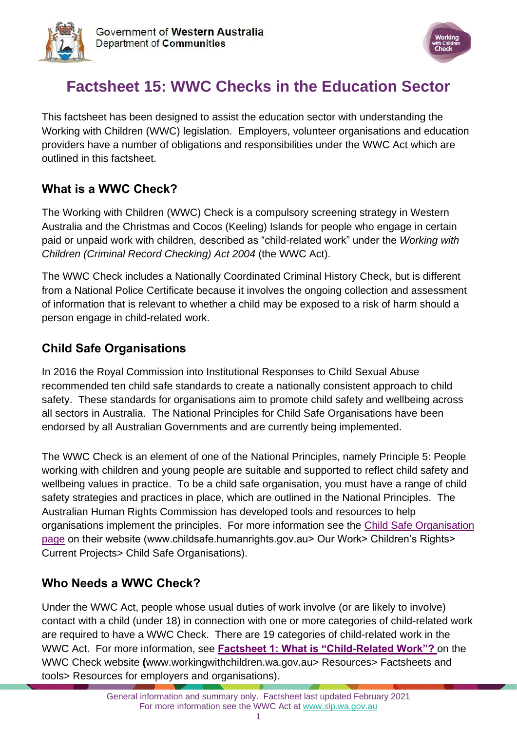



# **Factsheet 15: WWC Checks in the Education Sector**

This factsheet has been designed to assist the education sector with understanding the Working with Children (WWC) legislation. Employers, volunteer organisations and education providers have a number of obligations and responsibilities under the WWC Act which are outlined in this factsheet.

## **What is a WWC Check?**

The Working with Children (WWC) Check is a compulsory screening strategy in Western Australia and the Christmas and Cocos (Keeling) Islands for people who engage in certain paid or unpaid work with children, described as "child-related work" under the *Working with Children (Criminal Record Checking) Act 2004* (the WWC Act).

The WWC Check includes a Nationally Coordinated Criminal History Check, but is different from a National Police Certificate because it involves the ongoing collection and assessment of information that is relevant to whether a child may be exposed to a risk of harm should a person engage in child-related work.

## **Child Safe Organisations**

In 2016 the Royal Commission into Institutional Responses to Child Sexual Abuse recommended ten child safe standards to create a nationally consistent approach to child safety. These standards for organisations aim to promote child safety and wellbeing across all sectors in Australia. The National Principles for Child Safe Organisations have been endorsed by all Australian Governments and are currently being implemented.

The WWC Check is an element of one of the National Principles, namely Principle 5: People working with children and young people are suitable and supported to reflect child safety and wellbeing values in practice. To be a child safe organisation, you must have a range of child safety strategies and practices in place, which are outlined in the National Principles. The Australian Human Rights Commission has developed tools and resources to help organisations implement the principles. For more information see the [Child Safe Organisation](https://humanrights.gov.au/our-work/childrens-rights/projects/child-safe-organisations)  [page](https://humanrights.gov.au/our-work/childrens-rights/projects/child-safe-organisations) on their website (www.childsafe.humanrights.gov.au> Our Work> Children's Rights> Current Projects> Child Safe Organisations).

## **Who Needs a WWC Check?**

Under the WWC Act, people whose usual duties of work involve (or are likely to involve) contact with a child (under 18) in connection with one or more categories of child-related work are required to have a WWC Check. There are 19 categories of child-related work in the WWC Act. For more information, see **[Factsheet 1: What is "Child-Related Work"?](https://workingwithchildren.wa.gov.au/docs/default-source/default-document-library/factsheet-1-what-is-child-related-work-2015.pdf)** on the WWC Check website **(**[www.workingwithchildren.wa.gov.au>](http://www.workingwithchildren.wa.gov.au/) Resources> Factsheets and tools> Resources for employers and organisations).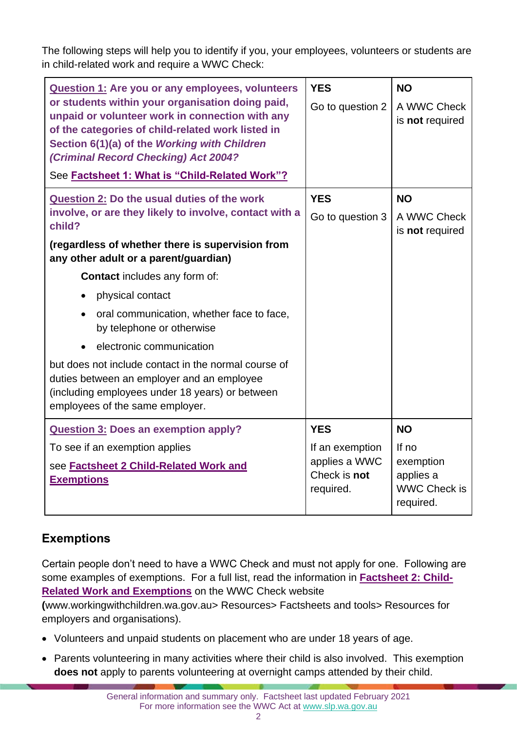The following steps will help you to identify if you, your employees, volunteers or students are in child-related work and require a WWC Check:

| Question 1: Are you or any employees, volunteers<br>or students within your organisation doing paid,<br>unpaid or volunteer work in connection with any<br>of the categories of child-related work listed in<br>Section 6(1)(a) of the Working with Children<br>(Criminal Record Checking) Act 2004?<br>See Factsheet 1: What is "Child-Related Work"?                                                                                                                                                                                                                                         | <b>YES</b><br>Go to question 2                                              | <b>NO</b><br>A WWC Check<br>is not required                                        |
|------------------------------------------------------------------------------------------------------------------------------------------------------------------------------------------------------------------------------------------------------------------------------------------------------------------------------------------------------------------------------------------------------------------------------------------------------------------------------------------------------------------------------------------------------------------------------------------------|-----------------------------------------------------------------------------|------------------------------------------------------------------------------------|
| <b>Question 2: Do the usual duties of the work</b><br>involve, or are they likely to involve, contact with a<br>child?<br>(regardless of whether there is supervision from<br>any other adult or a parent/guardian)<br><b>Contact</b> includes any form of:<br>physical contact<br>oral communication, whether face to face,<br>$\bullet$<br>by telephone or otherwise<br>electronic communication<br>but does not include contact in the normal course of<br>duties between an employer and an employee<br>(including employees under 18 years) or between<br>employees of the same employer. | <b>YES</b><br>Go to question 3                                              | <b>NO</b><br>A WWC Check<br>is not required                                        |
| <b>Question 3: Does an exemption apply?</b><br>To see if an exemption applies<br>see <b>Factsheet 2 Child-Related Work and</b><br><b>Exemptions</b>                                                                                                                                                                                                                                                                                                                                                                                                                                            | <b>YES</b><br>If an exemption<br>applies a WWC<br>Check is not<br>required. | <b>NO</b><br>If $no$<br>exemption<br>applies a<br><b>WWC Check is</b><br>required. |

## **Exemptions**

Certain people don't need to have a WWC Check and must not apply for one. Following are some examples of exemptions. For a full list, read the information in **[Factsheet 2: Child-](https://workingwithchildren.wa.gov.au/docs/default-source/default-document-library/factsheet-2-child-related-work-and-exemptions-2015.pdf)[Related Work and Exemptions](https://workingwithchildren.wa.gov.au/docs/default-source/default-document-library/factsheet-2-child-related-work-and-exemptions-2015.pdf)** on the WWC Check website

**(**[www.workingwithchildren.wa.gov.au>](http://www.workingwithchildren.wa.gov.au/) Resources> Factsheets and tools> Resources for employers and organisations).

- Volunteers and unpaid students on placement who are under 18 years of age.
- Parents volunteering in many activities where their child is also involved. This exemption **does not** apply to parents volunteering at overnight camps attended by their child.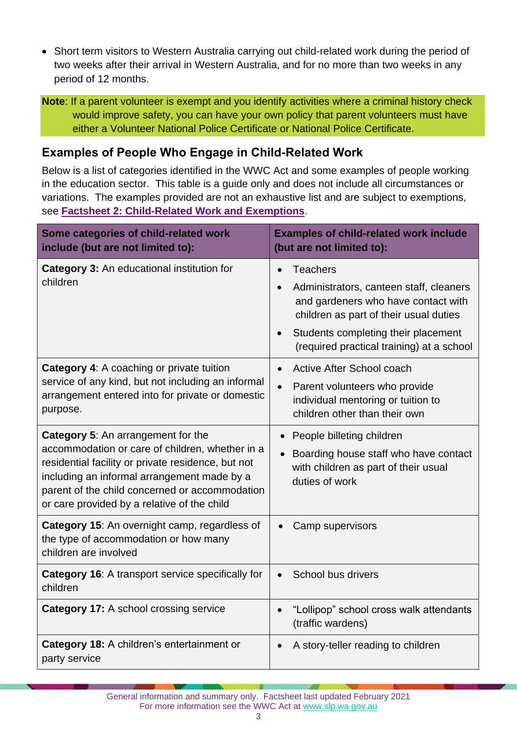• Short term visitors to Western Australia carrying out child-related work during the period of two weeks after their arrival in Western Australia, and for no more than two weeks in any period of 12 months.

**Note**: If a parent volunteer is exempt and you identify activities where a criminal history check would improve safety, you can have your own policy that parent volunteers must have either a Volunteer National Police Certificate or National Police Certificate.

### **Examples of People Who Engage in Child-Related Work**

Below is a list of categories identified in the WWC Act and some examples of people working in the education sector. This table is a guide only and does not include all circumstances or variations. The examples provided are not an exhaustive list and are subject to exemptions, see **[Factsheet 2: Child-Related Work and Exemptions](https://workingwithchildren.wa.gov.au/docs/default-source/default-document-library/factsheet-2-child-related-work-and-exemptions-2015.pdf)**.

| Some categories of child-related work<br>include (but are not limited to):                                                                                                                                                                                                                         | <b>Examples of child-related work include</b><br>(but are not limited to):                                               |
|----------------------------------------------------------------------------------------------------------------------------------------------------------------------------------------------------------------------------------------------------------------------------------------------------|--------------------------------------------------------------------------------------------------------------------------|
| <b>Category 3: An educational institution for</b><br>children                                                                                                                                                                                                                                      | <b>Teachers</b><br>$\bullet$                                                                                             |
|                                                                                                                                                                                                                                                                                                    | Administrators, canteen staff, cleaners<br>and gardeners who have contact with<br>children as part of their usual duties |
|                                                                                                                                                                                                                                                                                                    | Students completing their placement<br>(required practical training) at a school                                         |
| <b>Category 4:</b> A coaching or private tuition<br>service of any kind, but not including an informal<br>arrangement entered into for private or domestic<br>purpose.                                                                                                                             | Active After School coach                                                                                                |
|                                                                                                                                                                                                                                                                                                    | Parent volunteers who provide<br>individual mentoring or tuition to<br>children other than their own                     |
| <b>Category 5:</b> An arrangement for the<br>accommodation or care of children, whether in a<br>residential facility or private residence, but not<br>including an informal arrangement made by a<br>parent of the child concerned or accommodation<br>or care provided by a relative of the child | People billeting children<br>$\bullet$                                                                                   |
|                                                                                                                                                                                                                                                                                                    | Boarding house staff who have contact<br>$\bullet$<br>with children as part of their usual<br>duties of work             |
| Category 15: An overnight camp, regardless of<br>the type of accommodation or how many<br>children are involved                                                                                                                                                                                    | Camp supervisors                                                                                                         |
| Category 16: A transport service specifically for<br>children                                                                                                                                                                                                                                      | School bus drivers                                                                                                       |
| <b>Category 17:</b> A school crossing service                                                                                                                                                                                                                                                      | "Lollipop" school cross walk attendants<br>(traffic wardens)                                                             |
| Category 18: A children's entertainment or<br>party service                                                                                                                                                                                                                                        | A story-teller reading to children                                                                                       |

General information and summary only. Factsheet last updated February 2021 For more information see the WWC Act at [www.slp.wa.gov.au](http://www.slp.wa.gov.au/legislation/statutes.nsf/main_mrtitle_1095_homepage.html)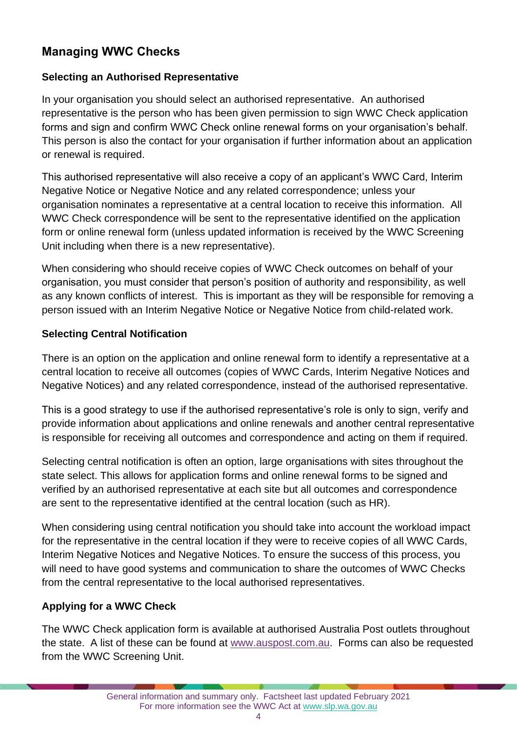## **Managing WWC Checks**

#### **Selecting an Authorised Representative**

In your organisation you should select an authorised representative. An authorised representative is the person who has been given permission to sign WWC Check application forms and sign and confirm WWC Check online renewal forms on your organisation's behalf. This person is also the contact for your organisation if further information about an application or renewal is required.

This authorised representative will also receive a copy of an applicant's WWC Card, Interim Negative Notice or Negative Notice and any related correspondence; unless your organisation nominates a representative at a central location to receive this information. All WWC Check correspondence will be sent to the representative identified on the application form or online renewal form (unless updated information is received by the WWC Screening Unit including when there is a new representative).

When considering who should receive copies of WWC Check outcomes on behalf of your organisation, you must consider that person's position of authority and responsibility, as well as any known conflicts of interest. This is important as they will be responsible for removing a person issued with an Interim Negative Notice or Negative Notice from child-related work.

#### **Selecting Central Notification**

There is an option on the application and online renewal form to identify a representative at a central location to receive all outcomes (copies of WWC Cards, Interim Negative Notices and Negative Notices) and any related correspondence, instead of the authorised representative.

This is a good strategy to use if the authorised representative's role is only to sign, verify and provide information about applications and online renewals and another central representative is responsible for receiving all outcomes and correspondence and acting on them if required.

Selecting central notification is often an option, large organisations with sites throughout the state select. This allows for application forms and online renewal forms to be signed and verified by an authorised representative at each site but all outcomes and correspondence are sent to the representative identified at the central location (such as HR).

When considering using central notification you should take into account the workload impact for the representative in the central location if they were to receive copies of all WWC Cards, Interim Negative Notices and Negative Notices. To ensure the success of this process, you will need to have good systems and communication to share the outcomes of WWC Checks from the central representative to the local authorised representatives.

#### **Applying for a WWC Check**

The WWC Check application form is available at authorised Australia Post outlets throughout the state. A list of these can be found at [www.auspost.com.au.](https://auspost.com.au/locate/?services=86) Forms can also be requested from the WWC Screening Unit.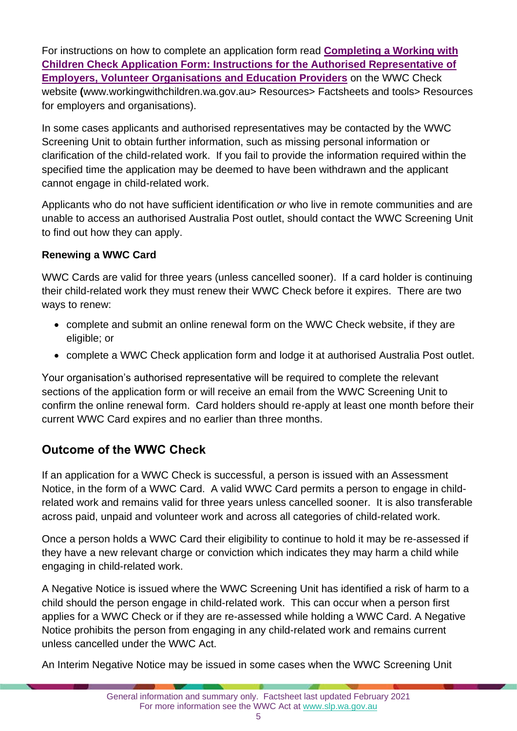For instructions on how to complete an application form read **[Completing a Working with](https://workingwithchildren.wa.gov.au/docs/default-source/default-document-library/completing-the-working-with-children-check-application-form-instructions-for-employers.pdf)  [Children Check Application Form: Instructions for the Authorised Representative of](https://workingwithchildren.wa.gov.au/docs/default-source/default-document-library/completing-the-working-with-children-check-application-form-instructions-for-employers.pdf)  [Employers, Volunteer Organisations and Education Providers](https://workingwithchildren.wa.gov.au/docs/default-source/default-document-library/completing-the-working-with-children-check-application-form-instructions-for-employers.pdf)** on the WWC Check website **(**[www.workingwithchildren.wa.gov.au>](http://www.workingwithchildren.wa.gov.au/) Resources> Factsheets and tools> Resources for employers and organisations).

In some cases applicants and authorised representatives may be contacted by the WWC Screening Unit to obtain further information, such as missing personal information or clarification of the child-related work. If you fail to provide the information required within the specified time the application may be deemed to have been withdrawn and the applicant cannot engage in child-related work.

Applicants who do not have sufficient identification *or* who live in remote communities and are unable to access an authorised Australia Post outlet, should contact the WWC Screening Unit to find out how they can apply.

#### **Renewing a WWC Card**

WWC Cards are valid for three years (unless cancelled sooner). If a card holder is continuing their child-related work they must renew their WWC Check before it expires. There are two ways to renew:

- complete and submit an online renewal form on the WWC Check website, if they are eligible; or
- complete a WWC Check application form and lodge it at authorised Australia Post outlet.

Your organisation's authorised representative will be required to complete the relevant sections of the application form or will receive an email from the WWC Screening Unit to confirm the online renewal form. Card holders should re-apply at least one month before their current WWC Card expires and no earlier than three months.

## **Outcome of the WWC Check**

If an application for a WWC Check is successful, a person is issued with an Assessment Notice, in the form of a WWC Card. A valid WWC Card permits a person to engage in childrelated work and remains valid for three years unless cancelled sooner. It is also transferable across paid, unpaid and volunteer work and across all categories of child-related work.

Once a person holds a WWC Card their eligibility to continue to hold it may be re-assessed if they have a new relevant charge or conviction which indicates they may harm a child while engaging in child-related work.

A Negative Notice is issued where the WWC Screening Unit has identified a risk of harm to a child should the person engage in child-related work. This can occur when a person first applies for a WWC Check or if they are re-assessed while holding a WWC Card. A Negative Notice prohibits the person from engaging in any child-related work and remains current unless cancelled under the WWC Act.

An Interim Negative Notice may be issued in some cases when the WWC Screening Unit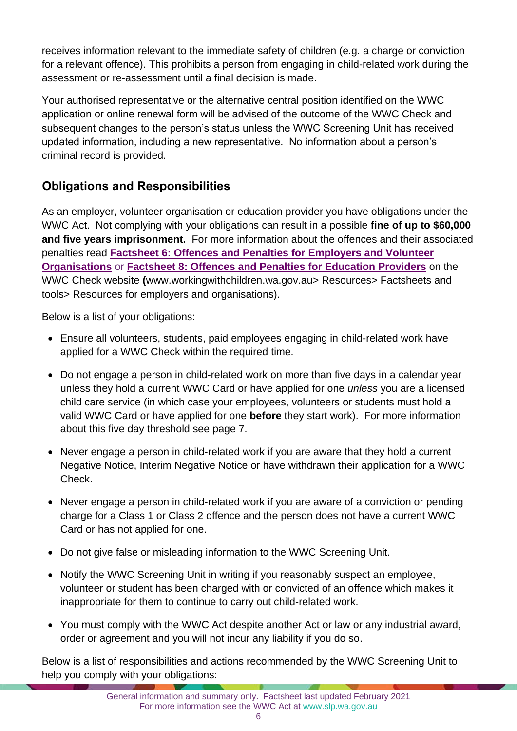receives information relevant to the immediate safety of children (e.g. a charge or conviction for a relevant offence). This prohibits a person from engaging in child-related work during the assessment or re-assessment until a final decision is made.

Your authorised representative or the alternative central position identified on the WWC application or online renewal form will be advised of the outcome of the WWC Check and subsequent changes to the person's status unless the WWC Screening Unit has received updated information, including a new representative. No information about a person's criminal record is provided.

## **Obligations and Responsibilities**

As an employer, volunteer organisation or education provider you have obligations under the WWC Act. Not complying with your obligations can result in a possible **fine of up to \$60,000 and five years imprisonment.** For more information about the offences and their associated penalties read **[Factsheet 6: Offences and Penalties for Employers and Volunteer](https://workingwithchildren.wa.gov.au/docs/default-source/default-document-library/factsheet-6-offences-and-penalties-for-employers-and-volunteer-organisations-2015.pdf)  [Organisations](https://workingwithchildren.wa.gov.au/docs/default-source/default-document-library/factsheet-6-offences-and-penalties-for-employers-and-volunteer-organisations-2015.pdf)** or **[Factsheet 8: Offences and Penalties for Education Providers](https://workingwithchildren.wa.gov.au/docs/default-source/default-document-library/factsheet-8-offences-and-penalties-for-education-providers-2015.pdf)** on the WWC Check website **(**[www.workingwithchildren.wa.gov.au>](http://www.workingwithchildren.wa.gov.au/) Resources> Factsheets and tools> Resources for employers and organisations).

Below is a list of your obligations:

- Ensure all volunteers, students, paid employees engaging in child-related work have applied for a WWC Check within the required time.
- Do not engage a person in child-related work on more than five days in a calendar year unless they hold a current WWC Card or have applied for one *unless* you are a licensed child care service (in which case your employees, volunteers or students must hold a valid WWC Card or have applied for one **before** they start work). For more information about this five day threshold see page 7.
- Never engage a person in child-related work if you are aware that they hold a current Negative Notice, Interim Negative Notice or have withdrawn their application for a WWC Check.
- Never engage a person in child-related work if you are aware of a conviction or pending charge for a Class 1 or Class 2 offence and the person does not have a current WWC Card or has not applied for one.
- Do not give false or misleading information to the WWC Screening Unit.
- Notify the WWC Screening Unit in writing if you reasonably suspect an employee, volunteer or student has been charged with or convicted of an offence which makes it inappropriate for them to continue to carry out child-related work.
- You must comply with the WWC Act despite another Act or law or any industrial award, order or agreement and you will not incur any liability if you do so.

Below is a list of responsibilities and actions recommended by the WWC Screening Unit to help you comply with your obligations: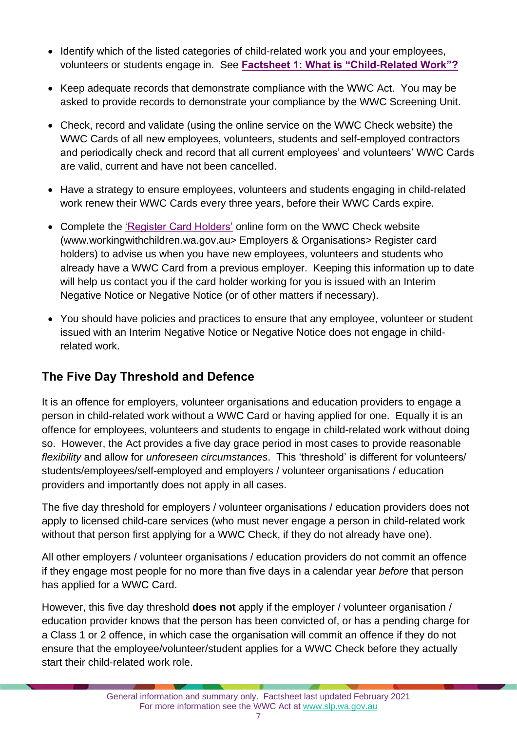- Identify which of the listed categories of child-related work you and your employees, volunteers or students engage in. See **[Factsheet 1: What is "Child-Related Work"?](https://workingwithchildren.wa.gov.au/docs/default-source/default-document-library/factsheet-1-what-is-child-related-work-2015.pdf)**
- Keep adequate records that demonstrate compliance with the WWC Act. You may be asked to provide records to demonstrate your compliance by the WWC Screening Unit.
- Check, record and validate (using the online service on the WWC Check website) the WWC Cards of all new employees, volunteers, students and self-employed contractors and periodically check and record that all current employees' and volunteers' WWC Cards are valid, current and have not been cancelled.
- Have a strategy to ensure employees, volunteers and students engaging in child-related work renew their WWC Cards every three years, before their WWC Cards expire.
- Complete the ['Register Card Holders'](https://workingwithchildren.wa.gov.au/employers-organisations/online-services/registeremployees) online form on the WWC Check website (www.workingwithchildren.wa.gov.au> Employers & Organisations> Register card holders) to advise us when you have new employees, volunteers and students who already have a WWC Card from a previous employer. Keeping this information up to date will help us contact you if the card holder working for you is issued with an Interim Negative Notice or Negative Notice (or of other matters if necessary).
- You should have policies and practices to ensure that any employee, volunteer or student issued with an Interim Negative Notice or Negative Notice does not engage in childrelated work.

## **The Five Day Threshold and Defence**

It is an offence for employers, volunteer organisations and education providers to engage a person in child-related work without a WWC Card or having applied for one. Equally it is an offence for employees, volunteers and students to engage in child-related work without doing so. However, the Act provides a five day grace period in most cases to provide reasonable *flexibility* and allow for *unforeseen circumstances*. This 'threshold' is different for volunteers/ students/employees/self-employed and employers / volunteer organisations / education providers and importantly does not apply in all cases.

The five day threshold for employers / volunteer organisations / education providers does not apply to licensed child-care services (who must never engage a person in child-related work without that person first applying for a WWC Check, if they do not already have one).

All other employers / volunteer organisations / education providers do not commit an offence if they engage most people for no more than five days in a calendar year *before* that person has applied for a WWC Card.

However, this five day threshold **does not** apply if the employer / volunteer organisation / education provider knows that the person has been convicted of, or has a pending charge for a Class 1 or 2 offence, in which case the organisation will commit an offence if they do not ensure that the employee/volunteer/student applies for a WWC Check before they actually start their child-related work role.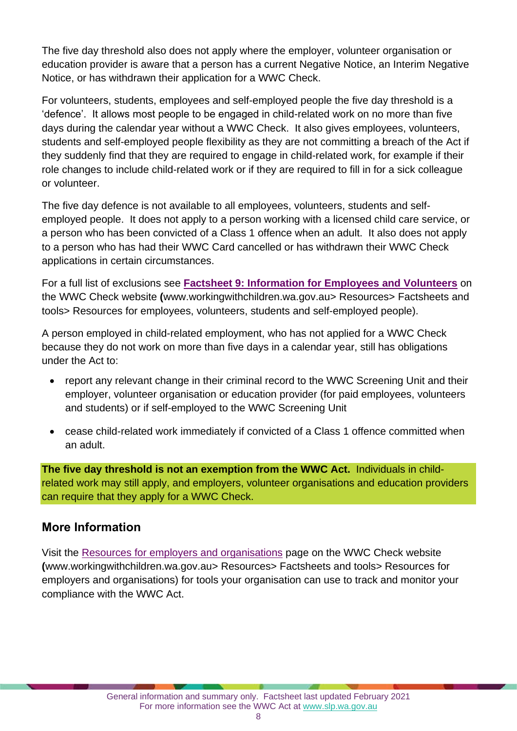The five day threshold also does not apply where the employer, volunteer organisation or education provider is aware that a person has a current Negative Notice, an Interim Negative Notice, or has withdrawn their application for a WWC Check.

For volunteers, students, employees and self-employed people the five day threshold is a 'defence'. It allows most people to be engaged in child-related work on no more than five days during the calendar year without a WWC Check. It also gives employees, volunteers, students and self-employed people flexibility as they are not committing a breach of the Act if they suddenly find that they are required to engage in child-related work, for example if their role changes to include child-related work or if they are required to fill in for a sick colleague or volunteer.

The five day defence is not available to all employees, volunteers, students and selfemployed people. It does not apply to a person working with a licensed child care service, or a person who has been convicted of a Class 1 offence when an adult. It also does not apply to a person who has had their WWC Card cancelled or has withdrawn their WWC Check applications in certain circumstances.

For a full list of exclusions see **[Factsheet 9: Information for Employees and Volunteers](https://workingwithchildren.wa.gov.au/docs/default-source/default-document-library/factsheet-9-information-for-employees-and-volunteer-2015.pdf)** on the WWC Check website **(**[www.workingwithchildren.wa.gov.au>](http://www.workingwithchildren.wa.gov.au/) Resources> Factsheets and tools> Resources for employees, volunteers, students and self-employed people).

A person employed in child-related employment, who has not applied for a WWC Check because they do not work on more than five days in a calendar year, still has obligations under the Act to:

- report any relevant change in their criminal record to the WWC Screening Unit and their employer, volunteer organisation or education provider (for paid employees, volunteers and students) or if self-employed to the WWC Screening Unit
- cease child-related work immediately if convicted of a Class 1 offence committed when an adult.

**The five day threshold is not an exemption from the WWC Act.** Individuals in childrelated work may still apply, and employers, volunteer organisations and education providers can require that they apply for a WWC Check.

#### **More Information**

Visit the [Resources for employers and organisations](https://workingwithchildren.wa.gov.au/resources/publications/fact-sheets-booklets/resources-for-employers-and-organisations) page on the WWC Check website **(**[www.workingwithchildren.wa.gov.au>](http://www.workingwithchildren.wa.gov.au/) Resources> Factsheets and tools> Resources for employers and organisations) for tools your organisation can use to track and monitor your compliance with the WWC Act.